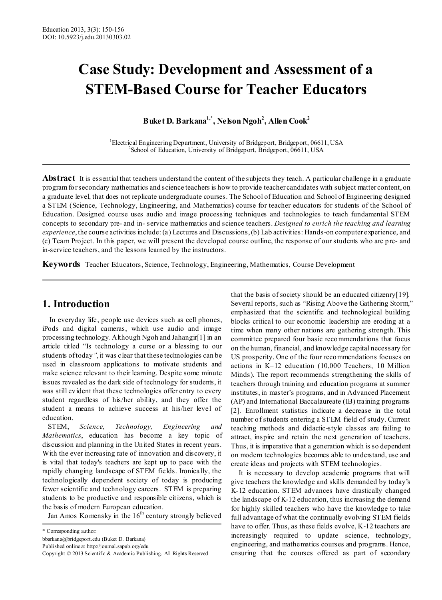# **Case Study: Development and Assessment of a STEM-Based Course for Teacher Educators**

**Buket D. Barkana1,\*, Nelson Ngoh2 , Allen Cook2**

<sup>1</sup>Electrical Engineering Department, University of Bridgeport, Bridgeport, 06611, USA <sup>2</sup>School of Education, University of Bridgeport, Bridgeport, 06611, USA <sup>2</sup>School of Education, University of Bridgeport, Bridgeport, 06611, USA

**Abstract** It is essential that teachers understand the content of the subjects they teach. A particular challenge in a graduate program for secondary mathematics and science teachers is how to provide teacher candidates with subject matter content, on a graduate level, that does not replicate undergraduate courses. The School of Education and School of Engineering designed a STEM (Science, Technology, Engineering, and Mathematics**)** course for teacher educators for students of the School of Education. Designed course uses audio and image processing techniques and technologies to teach fundamental STEM concepts to secondary pre- and in- service mathematics and science teachers. *Designed to enrich the teaching and learning experience*, the course activities include: (a) Lectures and Discussions, (b) Lab activities: Hands-on computer experience, and (c) Team Project. In this paper, we will present the developed course outline, the response of our students who are pre- and in-service teachers, and the lessons learned by the instructors.

**Keywords** Teacher Educators, Science, Technology, Engineering, Mathematics, Course Development

## **1. Introduction**

In everyday life, people use devices such as cell phones, iPods and digital cameras, which use audio and image processing technology. Although Ngoh and Jahangir[1] in an article titled "Is technology a curse or a blessing to our students of today*"*, it was clear that these technologies can be used in classroom applications to motivate students and make science relevant to their learning. Despite some minute issues revealed as the dark side of technology for students, it was still evident that these technologies offer entry to every student regardless of his/her ability, and they offer the student a means to achieve success at his/her level of education.

STEM, *Science, Technology, Engineering and Mathematics*, education has become a key topic of discussion and planning in the United States in recent years. With the ever increasing rate of innovation and discovery, it is vital that today's teachers are kept up to pace with the rapidly changing landscape of STEM fields. Ironically, the technologically dependent society of today is producing fewer scientific and technology careers. STEM is preparing students to be productive and responsible citizens, which is the basis of modern European education.

Jan Amos Komensky in the  $16<sup>th</sup>$  century strongly believed

that the basis of society should be an educated citizenry[19]. Several reports, such as "Rising Above the Gathering Storm," emphasized that the scientific and technological building blocks critical to our economic leadership are eroding at a time when many other nations are gathering strength. This committee prepared four basic recommendations that focus on the human, financial, and knowledge capital necessary for US prosperity. One of the four recommendations focuses on actions in K–12 education (10,000 Teachers, 10 Million Minds). The report recommends strengthening the skills of teachers through training and education programs at summer institutes, in master's programs, and in Advanced Placement (AP) and International Baccalaureate (IB) training programs [2]. Enrollment statistics indicate a decrease in the total number of students entering a STEM field of study. Current teaching methods and didactic-style classes are failing to attract, inspire and retain the next generation of teachers. Thus, it is imperative that a generation which is so dependent on modern technologies becomes able to understand, use and create ideas and projects with STEM technologies.

It is necessary to develop academic programs that will give teachers the knowledge and skills demanded by today's K-12 education. STEM advances have drastically changed the landscape of K-12 education, thus increasing the demand for highly skilled teachers who have the knowledge to take full advantage of what the continually evolving STEM fields have to offer. Thus, as these fields evolve, K-12 teachers are increasingly required to update science, technology, engineering, and mathematics courses and programs. Hence, ensuring that the courses offered as part of secondary

<sup>\*</sup> Corresponding author:

bbarkana@bridgeport.edu (Buket D. Barkana)

Published online at http://journal.sapub.org/edu

Copyright © 2013 Scientific & Academic Publishing. All Rights Reserved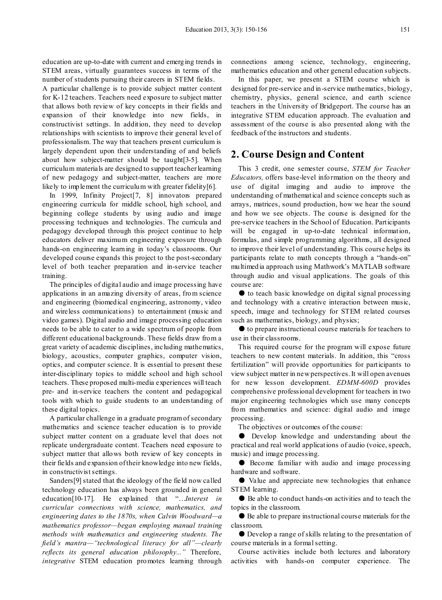education are up-to-date with current and emerging trends in STEM areas, virtually guarantees success in terms of the number of students pursuing their careers in STEM fields.

A particular challenge is to provide subject matter content for K-12 teachers. Teachers need exposure to subject matter that allows both review of key concepts in their fields and expansion of their knowledge into new fields, in constructivist settings. In addition, they need to develop relationships with scientists to improve their general level of professionalism. The way that teachers present curriculum is largely dependent upon their understanding of and beliefs about how subject-matter should be taught[3-5]. When curriculum materials are designed to support teacher learning of new pedagogy and subject-matter, teachers are more likely to implement the curriculum with greater fidelity[6].

In 1999, Infinity Project[7, 8] innovators prepared engineering curricula for middle school, high school, and beginning college students by using audio and image processing techniques and technologies. The curricula and pedagogy developed through this project continue to help educators deliver maximum engineering exposure through hands-on engineering learning in today's classrooms. Our developed course expands this project to the post-secondary level of both teacher preparation and in-service teacher training.

The principles of digital audio and image processing have applications in an amazing diversity of areas, from science and engineering (biomedical engineering, astronomy, video and wireless communications) to entertainment (music and video games). Digital audio and image processing education needs to be able to cater to a wide spectrum of people from different educational backgrounds. These fields draw from a great variety of academic disciplines, including mathematics, biology, acoustics, computer graphics, computer vision, optics, and computer science. It is essential to present these inter-disciplinary topics to middle school and high school teachers. These proposed multi-media experiences will teach pre- and in-service teachers the content and pedagogical tools with which to guide students to an understanding of these digital topics.

A particular challenge in a graduate program of secondary mathematics and science teacher education is to provide subject matter content on a graduate level that does not replicate undergraduate content. Teachers need exposure to subject matter that allows both review of key concepts in their fields and expansion of their knowledge into new fields, in constructivist settings.

Sanders[9] stated that the ideology of the field now called technology education has always been grounded in general education[10-17]. He explained that "…*Interest in curricular connections with science, mathematics, and engineering dates to the 1870s, when Calvin Woodward—a mathematics professor—began employing manual training methods with mathematics and engineering students. The field's mantra—"technological literacy for all"—clearly reflects its general education philosophy..."* Therefore, *integrative* STEM education promotes learning through connections among science, technology, engineering, mathematics education and other general education subjects.

In this paper, we present a STEM course which is designed for pre-service and in-service mathematics, biology, chemistry, physics, general science, and earth science teachers in the University of Bridgeport. The course has an integrative STEM education approach. The evaluation and assessment of the course is also presented along with the feedback of the instructors and students.

## **2. Course Design and Content**

This 3 credit, one semester course, *STEM for Teacher Educators,* offers base-level information on the theory and use of digital imaging and audio to improve the understanding of mathematical and science concepts such as arrays, matrices, sound production, how we hear the sound and how we see objects. The course is designed for the pre-service teachers in the School of Education. Participants will be engaged in up-to-date technical information, formulas, and simple programming algorithms, all designed to improve their level of understanding. This course helps its participants relate to math concepts through a "hands-on" multimedia approach using Mathwork's MATLAB software through audio and visual applications. The goals of this course are:

● to teach basic knowledge on digital signal processing and technology with a creative interaction between music, speech, image and technology for STEM related courses such as mathematics, biology, and physics;

● to prepare instructional course materials for teachers to use in their classrooms.

This required course for the program will expose future teachers to new content materials. In addition, this "cross fertilization" will provide opportunities for participants to view subject matter in new perspectives. It will open avenues for new lesson development. *EDMM-600D* provides comprehensive professional development for teachers in two major engineering technologies which use many concepts from mathematics and science: digital audio and image processing.

The objectives or outcomes of the course:

● Develop knowledge and understanding about the practical and real world applications of audio (voice, speech, music) and image processing.

● Become familiar with audio and image processing hardware and software.

● Value and appreciate new technologies that enhance STEM learning.

● Be able to conduct hands-on activities and to teach the topics in the classroom.

● Be able to prepare instructional course materials for the classroom.

● Develop a range of skills relating to the presentation of course materials in a formal setting.

Course activities include both lectures and laboratory activities with hands-on computer experience. The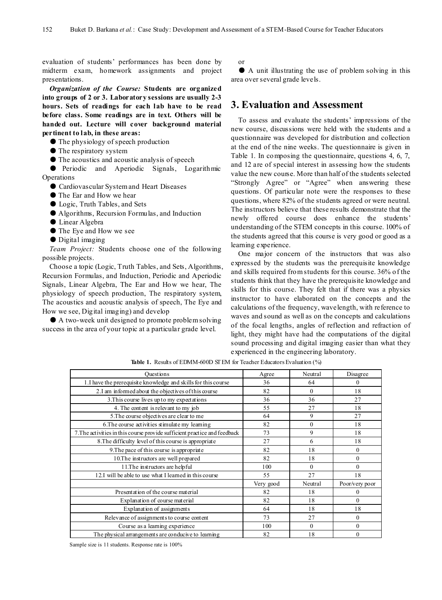evaluation of students' performances has been done by midterm exam, homework assignments and project presentations.

*Organization of the Course:* **Students are organized into groups of 2 or 3. Laboratory sessions are usually 2-3 hours. Sets of readings for each lab have to be read before class. Some readings are in text. Others will be handed out. Lecture will cover background material pertinent to lab, in these areas:**

- The physiology of speech production
- The respiratory system
- The acoustics and acoustic analysis of speech
- Periodic and Aperiodic Signals, Logarithmic Operations
	- Cardiovascular System and Heart Diseases
	- The Ear and How we hear
	- Logic, Truth Tables, and Sets
	- Algorithms, Recursion Formulas, and Induction
	- Linear Algebra
	- The Eye and How we see
	- Digital imaging

*Team Project:* Students choose one of the following possible projects.

Choose a topic (Logic, Truth Tables, and Sets, Algorithms, Recursion Formulas, and Induction, Periodic and Aperiodic Signals, Linear Algebra, The Ear and How we hear, The physiology of speech production, The respiratory system, The acoustics and acoustic analysis of speech, The Eye and How we see, Digital imaging) and develop

● A two-week unit designed to promote problem solving success in the area of your topic at a particular grade level.

#### or

● A unit illustrating the use of problem solving in this area over several grade levels.

## **3. Evaluation and Assessment**

To assess and evaluate the students' impressions of the new course, discussions were held with the students and a questionnaire was developed for distribution and collection at the end of the nine weeks. The questionnaire is given in Table 1. In composing the questionnaire, questions 4, 6, 7, and 12 are of special interest in assessing how the students value the new course. More than half of the students selected "Strongly Agree" or "Agree" when answering these questions. Of particular note were the responses to these questions, where 82% of the students agreed or were neutral. The instructors believe that these results demonstrate that the newly offered course does enhance the students' understanding of the STEM concepts in this course. 100% of the students agreed that this course is very good or good as a learning experience.

One major concern of the instructors that was also expressed by the students was the prerequisite knowledge and skills required from students for this course. 36% of the students think that they have the prerequisite knowledge and skills for this course. They felt that if there was a physics instructor to have elaborated on the concepts and the calculations of the frequency, wavelength, with reference to waves and sound as well as on the concepts and calculations of the focal lengths, angles of reflection and refraction of light, they might have had the computations of the digital sound processing and digital imaging easier than what they experienced in the engineering laboratory.

| <b>Ouestions</b>                                                          | Agree     | Neutral      | Disagree       |
|---------------------------------------------------------------------------|-----------|--------------|----------------|
| 1. I have the prerequisite knowledge and skills for this course           | 36        | 64           | $\Omega$       |
| 2.I am informed about the objectives of this course                       | 82        | $\Omega$     | 18             |
| 3. This course lives up to my expectations                                | 36        | 36           | 27             |
| 4. The content is relevant to my job                                      | 55        | 27           | 18             |
| 5. The course objectives are clear to me                                  | 64        | 9            | 27             |
| 6. The course activities stimulate my learning                            | 82        | $\mathbf{0}$ | 18             |
| 7. The activities in this course provide sufficient practice and feedback | 73        | 9            | 18             |
| 8. The difficulty level of this course is appropriate                     | 27        | 6            | 18             |
| 9. The pace of this course is appropriate                                 | 82        | 18           | $\theta$       |
| 10. The instructors are well prepared                                     | 82        | 18           | $\Omega$       |
| 11. The instructors are helpful                                           | 100       | $\Omega$     | $\theta$       |
| 12.I will be able to use what I learned in this course                    | 55        | 27           | 18             |
|                                                                           | Very good | Neutral      | Poor/very poor |
| Presentation of the course material                                       | 82        | 18           | $\Omega$       |
| Explanation of course material                                            | 82        | 18           | $\theta$       |
| Explanation of assignments                                                | 64        | 18           | 18             |
| Relevance of assignments to course content                                | 73        | 27           | $\theta$       |
| Course as a learning experience                                           | 100       | $\mathbf{0}$ | $\mathbf{0}$   |
| The physical arrangements are conducive to learning                       | 82        | 18           | $\theta$       |

**Table 1.** Results of EDMM-600D STEM for Teacher Educators Evaluation (%)

Sample size is 11 students. Response rate is 100%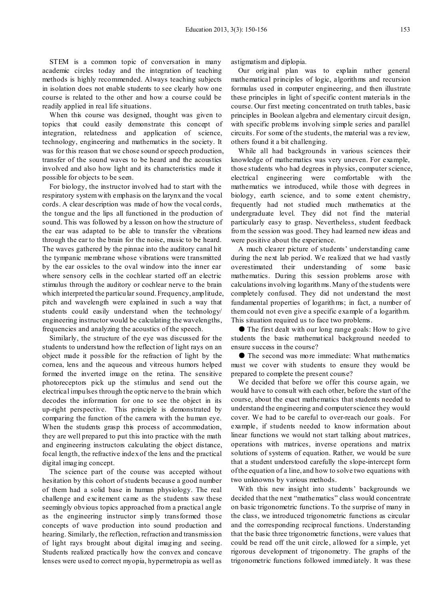STEM is a common topic of conversation in many academic circles today and the integration of teaching methods is highly recommended. Always teaching subjects in isolation does not enable students to see clearly how one course is related to the other and how a course could be readily applied in real life situations.

When this course was designed, thought was given to topics that could easily demonstrate this concept of integration, relatedness and application of science, technology, engineering and mathematics in the society. It was for this reason that we chose sound or speech production, transfer of the sound waves to be heard and the acoustics involved and also how light and its characteristics made it possible for objects to be seen.

For biology, the instructor involved had to start with the respiratory system with emphasis on the larynx and the vocal cords. A clear description was made of how the vocal cords, the tongue and the lips all functioned in the production of sound. This was followed by a lesson on how the structure of the ear was adapted to be able to transfer the vibrations through the ear to the brain for the noise, music to be heard. The waves gathered by the pinnae into the auditory canal hit the tympanic membrane whose vibrations were transmitted by the ear ossicles to the oval window into the inner ear where sensory cells in the cochlear started off an electric stimulus through the auditory or cochlear nerve to the brain which interpreted the particular sound. Frequency, amplitude, pitch and wavelength were explained in such a way that students could easily understand when the technology/ engineering instructor would be calculating the wavelengths, frequencies and analyzing the acoustics of the speech.

Similarly, the structure of the eye was discussed for the students to understand how the reflection of light rays on an object made it possible for the refraction of light by the cornea, lens and the aqueous and vitreous humors helped formed the inverted image on the retina. The sensitive photoreceptors pick up the stimulus and send out the electrical impulses through the optic nerve to the brain which decodes the information for one to see the object in its up-right perspective. This principle is demonstrated by comparing the function of the camera with the human eye. When the students grasp this process of accommodation, they are well prepared to put this into practice with the math and engineering instructors calculating the object distance, focal length, the refractive index of the lens and the practical digital imaging concept.

The science part of the course was accepted without hesitation by this cohort of students because a good number of them had a solid base in human physiology. The real challenge and excitement came as the students saw these seemingly obvious topics approached from a practical angle as the engineering instructor simply transformed those concepts of wave production into sound production and hearing. Similarly, the reflection, refraction and transmission of light rays brought about digital imaging and seeing. Students realized practically how the convex and concave lenses were used to correct myopia, hypermetropia as well as

astigmatism and diplopia.

Our original plan was to explain rather general mathematical principles of logic, algorithms and recursion formulas used in computer engineering, and then illustrate these principles in light of specific content materials in the course. Our first meeting concentrated on truth tables, basic principles in Boolean algebra and elementary circuit design, with specific problems involving simple series and parallel circuits. For some of the students, the material was a review, others found it a bit challenging.

While all had backgrounds in various sciences their knowledge of mathematics was very uneven. For example, those students who had degrees in physics, computer science, electrical engineering were comfortable with the mathematics we introduced, while those with degrees in biology, earth science, and to some extent chemistry, frequently had not studied much mathematics at the undergraduate level. They did not find the material particularly easy to grasp. Nevertheless, student feedback from the session was good. They had learned new ideas and were positive about the experience.

A much clearer picture of students' understanding came during the next lab period. We realized that we had vastly overestimated their understanding of some basic mathematics. During this session problems arose with calculations involving logarithms. Many of the students were completely confused. They did not understand the most fundamental properties of logarithms; in fact, a number of them could not even give a specific example of a logarithm. This situation required us to face two problems.

● The first dealt with our long range goals: How to give students the basic mathematical background needed to ensure success in the course?

● The second was more immediate: What mathematics must we cover with students to ensure they would be prepared to complete the present course?

We decided that before we offer this course again, we would have to consult with each other, before the start of the course, about the exact mathematics that students needed to understand the engineering and computer science they would cover. We had to be careful to over-reach our goals. For example, if students needed to know information about linear functions we would not start talking about matrices, operations with matrices, inverse operations and matrix solutions of systems of equation. Rather, we would be sure that a student understood carefully the slope-intercept form of the equation of a line, and how to solve two equations with two unknowns by various methods.

With this new insight into students' backgrounds we decided that the next "mathematics" class would concentrate on basic trigonometric functions. To the surprise of many in the class, we introduced trigonometric functions as circular and the corresponding reciprocal functions. Understanding that the basic three trigonometric functions, were values that could be read off the unit circle, allowed for a simple, yet rigorous development of trigonometry. The graphs of the trigonometric functions followed immediately. It was these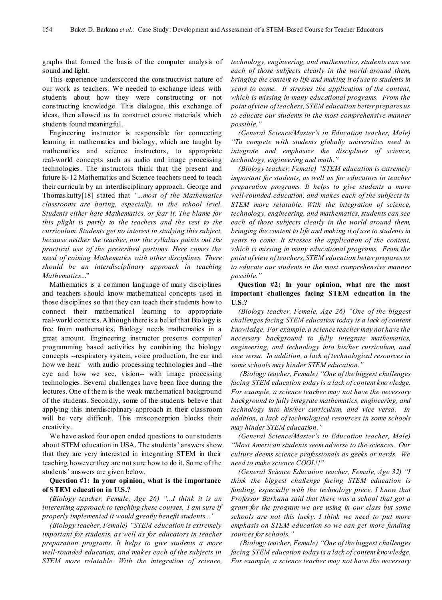graphs that formed the basis of the computer analysis of sound and light.

This experience underscored the constructivist nature of our work as teachers. We needed to exchange ideas with students about how they were constructing or not constructing knowledge. This dialogue, this exchange of ideas, then allowed us to construct course materials which students found meaningful.

Engineering instructor is responsible for connecting learning in mathematics and biology, which are taught by mathematics and science instructors, to appropriate real-world concepts such as audio and image processing technologies. The instructors think that the present and future K-12 Mathematics and Science teachers need to teach their curricula by an interdisciplinary approach. George and Thomaskutty[18] stated that *"...most of the Mathematics classrooms are boring, especially, in the school level. Students either hate Mathematics, or fear it. The blame for this plight is partly to the teachers and the rest to the curriculum. Students get no interest in studying this subject, because neither the teacher, nor the syllabus points out the practical use of the prescribed portions. Here comes the need of coining Mathematics with other disciplines. There should be an interdisciplinary approach in teaching Mathematics...*"

Mathematics is a common language of many disciplines and teachers should know mathematical concepts used in those disciplines so that they can teach their students how to connect their mathematical learning to appropriate real-world contexts. Although there is a belief that Biology is free from mathematics, Biology needs mathematics in a great amount. Engineering instructor presents computer/ programming based activities by combining the biology concepts --respiratory system, voice production, the ear and how we hear—with audio processing technologies and --the eye and how we see, vision-- with image processing technologies. Several challenges have been face during the lectures. One of them is the weak mathematical background of the students. Secondly, some of the students believe that applying this interdisciplinary approach in their classroom will be very difficult. This misconception blocks their creativity.

We have asked four open ended questions to our students about STEM education in USA. The students' answers show that they are very interested in integrating STEM in their teaching however they are not sure how to do it. Some of the students' answers are given below.

#### **Question #1: In your opinion, what is the importance of S TEM education in U.S.?**

*(Biology teacher, Female, Age 26) "...I think it is an interesting approach to teaching these courses. I am sure if properly implemented it would greatly benefit students..."*

*(Biology teacher, Female) "STEM education is extremely important for students, as well as for educators in teacher preparation programs. It helps to give students a more well-rounded education, and makes each of the subjects in STEM more relatable. With the integration of science,* 

*technology, engineering, and mathematics, students can see each of those subjects clearly in the world around them, bringing the content to life and making it of use to students in years to come. It stresses the application of the content, which is missing in many educational programs. From the point of view of teachers, STEM education better prepares us to educate our students in the most comprehensive manner possible."*

*(General Science/Master's in Education teacher, Male) "To compete with students globally universities need to integrate and emphasize the disciplines of science, technology, engineering and math."*

*(Biology teacher, Female) "STEM education is extremely important for students, as well as for educators in teacher preparation programs. It helps to give students a more well-rounded education, and makes each of the subjects in STEM more relatable. With the integration of science, technology, engineering, and mathematics, students can see each of those subjects clearly in the world around them, bringing the content to life and making it of use to students in years to come. It stresses the application of the content, which is missing in many educational programs. From the point of view of teachers, STEM education better prepares us to educate our students in the most comprehensive manner possible."*

#### **Question #2: In your opinion, what are the most important challenges facing STEM education in the U.S.?**

*(Biology teacher, Female, Age 26) "One of the biggest challenges facing STEM education today is a lack of content knowledge. For example, a science teacher may not have the necessary background to fully integrate mathematics, engineering, and technology into his/her curriculum, and vice versa. In addition, a lack of technological resources in some schools may hinder STEM education."* 

*(Biology teacher, Female) "One of the biggest challenges facing STEM education today is a lack of content knowledge. For example, a science teacher may not have the necessary background to fully integrate mathematics, engineering, and technology into his/her curriculum, and vice versa. In addition, a lack of technological resources in some schools may hinder STEM education."* 

*(General Science/Master's in Education teacher, Male) "Most American students seem adverse to the sciences. Our culture deems science professionals as geeks or nerds. We need to make science COOL!!"*

*(General Science Education teacher, Female, Age 32) "I think the biggest challenge facing STEM education is funding, especially with the technology piece. I know that Professor Barkana said that there was a school that got a grant for the program we are using in our class but some schools are not this lucky. I think we need to put more emphasis on STEM education so we can get more funding sources for schools."*

*(Biology teacher, Female) "One of the biggest challenges facing STEM education today is a lack of content knowledge. For example, a science teacher may not have the necessary*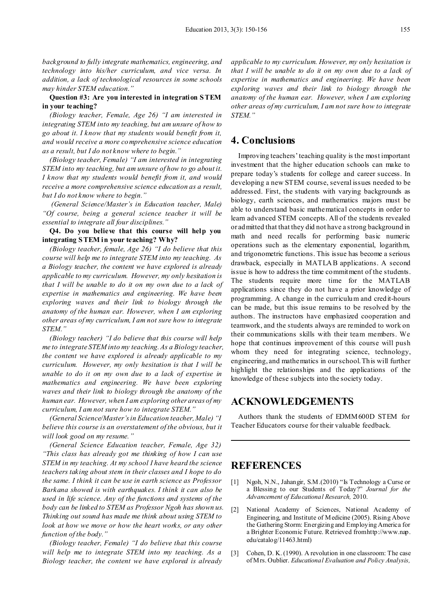*background to fully integrate mathematics, engineering, and technology into his/her curriculum, and vice versa. In addition, a lack of technological resources in some schools may hinder STEM education."* 

**Question #3: Are you interested in integration S TEM in your teaching?**

*(Biology teacher, Female, Age 26) "I am interested in integrating STEM into my teaching, but am unsure of how to go about it. I know that my students would benefit from it, and would receive a more comprehensive science education as a result, but I do not know where to begin."*

*(Biology teacher, Female) "I am interested in integrating STEM into my teaching, but am unsure of how to go about it. I know that my students would benefit from it, and would receive a more comprehensive science education as a result, but I do not know where to begin."* 

*(General Science/Master's in Education teacher, Male) "Of course, being a general science teacher it will be essential to integrate all four disciplines."*

**Q4. Do you believe that this course will help you integrating S TEM in your teaching? Why?**

*(Biology teacher, female, Age 26) "I do believe that this course will help me to integrate STEM into my teaching. As a Biology teacher, the content we have explored is already applicable to my curriculum. However, my only hesitation is that I will be unable to do it on my own due to a lack of expertise in mathematics and engineering. We have been exploring waves and their link to biology through the anatomy of the human ear. However, when I am exploring other areas of my curriculum, I am not sure how to integrate STEM."*

*(Biology teacher) "I do believe that this course will help me to integrate STEM into my teaching.As a Biology teacher, the content we have explored is already applicable to my curriculum. However, my only hesitation is that I will be unable to do it on my own due to a lack of expertise in mathematics and engineering. We have been exploring waves and their link to biology through the anatomy of the human ear. However, when I am exploring other areas of my curriculum, I am not sure how to integrate STEM."*

*(General Science/Master's in Education teacher, Male) "I believe this course is an overstatement of the obvious, but it will look good on my resume."*

*(General Science Education teacher, Female, Age 32) "This class has already got me thinking of how I can use STEM in my teaching. At my school I have heard the science teachers taking about stem in their classes and I hope to do the same. I think it can be use in earth science as Professor Barkana showed is with earthquakes. I think it can also be used in life science. Any of the functions and systems of the body can be linked to STEM as Professor Ngoh has shown us. Thinking out sound has made me think about using STEM to look at how we move or how the heart works, or any other function of the body."*

*(Biology teacher, Female) "I do believe that this course will help me to integrate STEM into my teaching. As a Biology teacher, the content we have explored is already*  *applicable to my curriculum. However, my only hesitation is that I will be unable to do it on my own due to a lack of expertise in mathematics and engineering. We have been exploring waves and their link to biology through the anatomy of the human ear. However, when I am exploring other areas of my curriculum, I am not sure how to integrate STEM."*

## **4. Conclusions**

Improving teachers' teaching quality is the most important investment that the higher education schools can make to prepare today's students for college and career success. In developing a new STEM course, several issues needed to be addressed. First, the students with varying backgrounds as biology, earth sciences, and mathematics majors must be able to understand basic mathematical concepts in order to learn advanced STEM concepts. All of the students revealed or admitted that that they did not have a strong background in math and need recalls for performing basic numeric operations such as the elementary exponential, logarithm, and trigonometric functions. This issue has become a serious drawback, especially in MATLAB applications. A second issue is how to address the time commitment of the students. The students require more time for the MATLAB applications since they do not have a prior knowledge of programming. A change in the curriculum and credit-hours can be made, but this issue remains to be resolved by the authors. The instructors have emphasized cooperation and teamwork, and the students always are reminded to work on their communications skills with their team members. We hope that continues improvement of this course will push whom they need for integrating science, technology, engineering, and mathematics in our school. This will further highlight the relationships and the applications of the knowledge of these subjects into the society today.

### **ACKNOWLEDGEMENTS**

Authors thank the students of EDMM600D STEM for Teacher Educators course for their valuable feedback.

## **REFERENCES**

- [1] Ngoh, N.N., Jahangir, S.M.(2010) "Is Technology a Curse or a Blessing to our Students of Today?" *Journal for the Advancement of Educational Research,* 2010.
- [2] National Academy of Sciences, National Academy of Engineering, and Institute of Medicine (2005). Rising Above the Gathering Storm: Energizing and Employing America for a Brighter Economic Future. Retrieved fromhttp://www.nap. edu/catalog/11463.html)
- [3] Cohen, D. K. (1990). A revolution in one classroom: The case of Mrs. Oublier. *Educational Evaluation and Policy Analysis,*